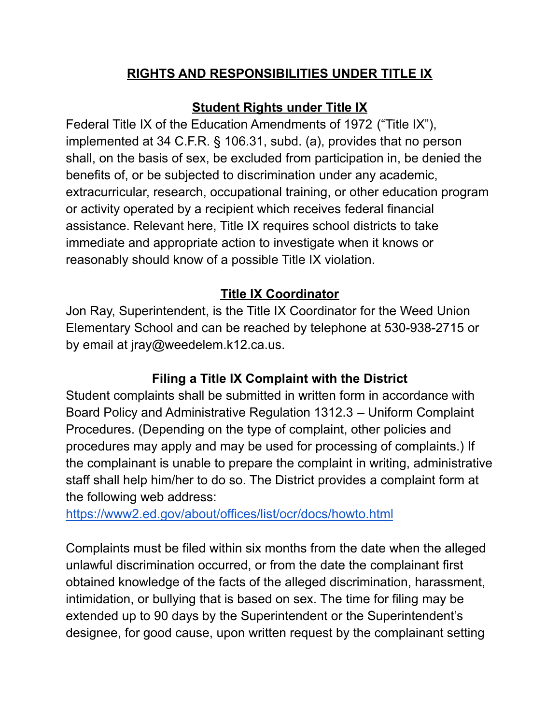### **RIGHTS AND RESPONSIBILITIES UNDER TITLE IX**

# **Student Rights under Title IX**

Federal Title IX of the Education Amendments of 1972 ("Title IX"), implemented at 34 C.F.R. § 106.31, subd. (a), provides that no person shall, on the basis of sex, be excluded from participation in, be denied the benefits of, or be subjected to discrimination under any academic, extracurricular, research, occupational training, or other education program or activity operated by a recipient which receives federal financial assistance. Relevant here, Title IX requires school districts to take immediate and appropriate action to investigate when it knows or reasonably should know of a possible Title IX violation.

### **Title IX Coordinator**

Jon Ray, Superintendent, is the Title IX Coordinator for the Weed Union Elementary School and can be reached by telephone at 530-938-2715 or by email at jray@weedelem.k12.ca.us.

# **Filing a Title IX Complaint with the District**

Student complaints shall be submitted in written form in accordance with Board Policy and Administrative Regulation 1312.3 – Uniform Complaint Procedures. (Depending on the type of complaint, other policies and procedures may apply and may be used for processing of complaints.) If the complainant is unable to prepare the complaint in writing, administrative staff shall help him/her to do so. The District provides a complaint form at the following web address:

<https://www2.ed.gov/about/offices/list/ocr/docs/howto.html>

Complaints must be filed within six months from the date when the alleged unlawful discrimination occurred, or from the date the complainant first obtained knowledge of the facts of the alleged discrimination, harassment, intimidation, or bullying that is based on sex. The time for filing may be extended up to 90 days by the Superintendent or the Superintendent's designee, for good cause, upon written request by the complainant setting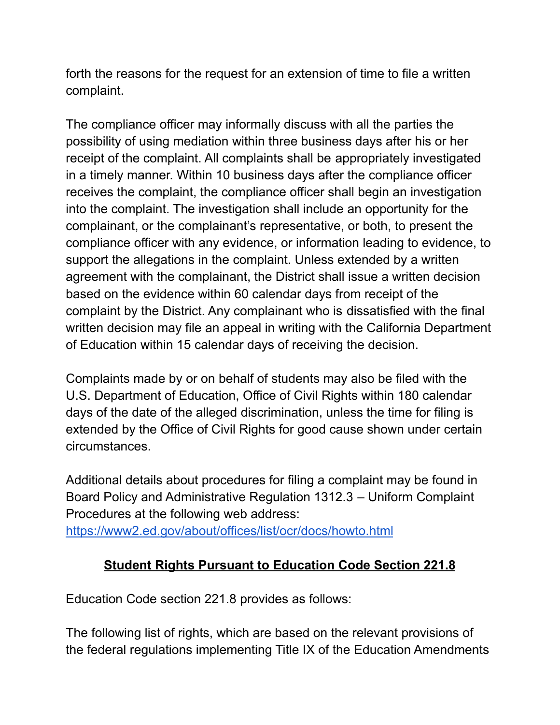forth the reasons for the request for an extension of time to file a written complaint.

The compliance officer may informally discuss with all the parties the possibility of using mediation within three business days after his or her receipt of the complaint. All complaints shall be appropriately investigated in a timely manner. Within 10 business days after the compliance officer receives the complaint, the compliance officer shall begin an investigation into the complaint. The investigation shall include an opportunity for the complainant, or the complainant's representative, or both, to present the compliance officer with any evidence, or information leading to evidence, to support the allegations in the complaint. Unless extended by a written agreement with the complainant, the District shall issue a written decision based on the evidence within 60 calendar days from receipt of the complaint by the District. Any complainant who is dissatisfied with the final written decision may file an appeal in writing with the California Department of Education within 15 calendar days of receiving the decision.

Complaints made by or on behalf of students may also be filed with the U.S. Department of Education, Office of Civil Rights within 180 calendar days of the date of the alleged discrimination, unless the time for filing is extended by the Office of Civil Rights for good cause shown under certain circumstances.

Additional details about procedures for filing a complaint may be found in Board Policy and Administrative Regulation 1312.3 – Uniform Complaint Procedures at the following web address:

<https://www2.ed.gov/about/offices/list/ocr/docs/howto.html>

# **Student Rights Pursuant to Education Code Section 221.8**

Education Code section 221.8 provides as follows:

The following list of rights, which are based on the relevant provisions of the federal regulations implementing Title IX of the Education Amendments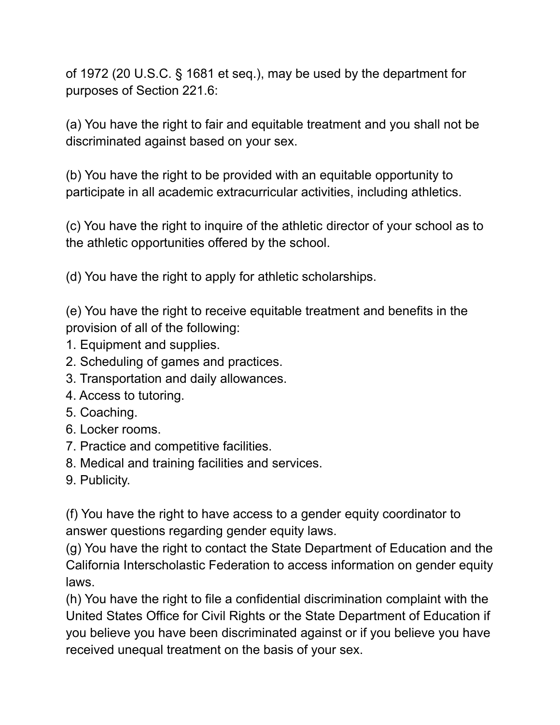of 1972 (20 U.S.C. § 1681 et seq.), may be used by the department for purposes of Section 221.6:

(a) You have the right to fair and equitable treatment and you shall not be discriminated against based on your sex.

(b) You have the right to be provided with an equitable opportunity to participate in all academic extracurricular activities, including athletics.

(c) You have the right to inquire of the athletic director of your school as to the athletic opportunities offered by the school.

(d) You have the right to apply for athletic scholarships.

(e) You have the right to receive equitable treatment and benefits in the provision of all of the following:

- 1. Equipment and supplies.
- 2. Scheduling of games and practices.
- 3. Transportation and daily allowances.
- 4. Access to tutoring.
- 5. Coaching.
- 6. Locker rooms.
- 7. Practice and competitive facilities.
- 8. Medical and training facilities and services.
- 9. Publicity.

(f) You have the right to have access to a gender equity coordinator to answer questions regarding gender equity laws.

(g) You have the right to contact the State Department of Education and the California Interscholastic Federation to access information on gender equity laws.

(h) You have the right to file a confidential discrimination complaint with the United States Office for Civil Rights or the State Department of Education if you believe you have been discriminated against or if you believe you have received unequal treatment on the basis of your sex.